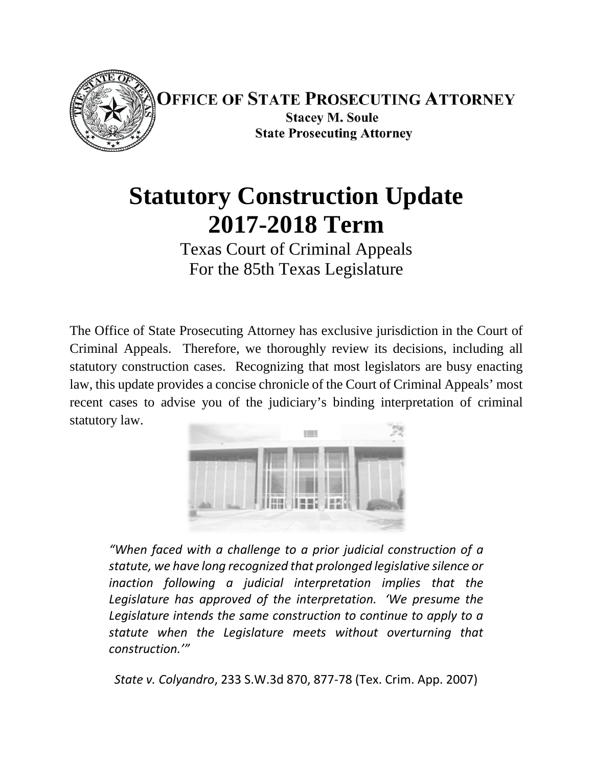

**OFFICE OF STATE PROSECUTING ATTORNEY Stacey M. Soule State Prosecuting Attorney** 

# **Statutory Construction Update 2017-2018 Term**

Texas Court of Criminal Appeals For the 85th Texas Legislature

The Office of State Prosecuting Attorney has exclusive jurisdiction in the Court of Criminal Appeals. Therefore, we thoroughly review its decisions, including all statutory construction cases. Recognizing that most legislators are busy enacting law, this update provides a concise chronicle of the Court of Criminal Appeals' most recent cases to advise you of the judiciary's binding interpretation of criminal statutory law.



*"When faced with a challenge to a prior judicial construction of a statute, we have long recognized that prolonged legislative silence or inaction following a judicial interpretation implies that the Legislature has approved of the interpretation. 'We presume the Legislature intends the same construction to continue to apply to a statute when the Legislature meets without overturning that construction.'"*

*State v. Colyandro*, 233 S.W.3d 870, 877-78 (Tex. Crim. App. 2007)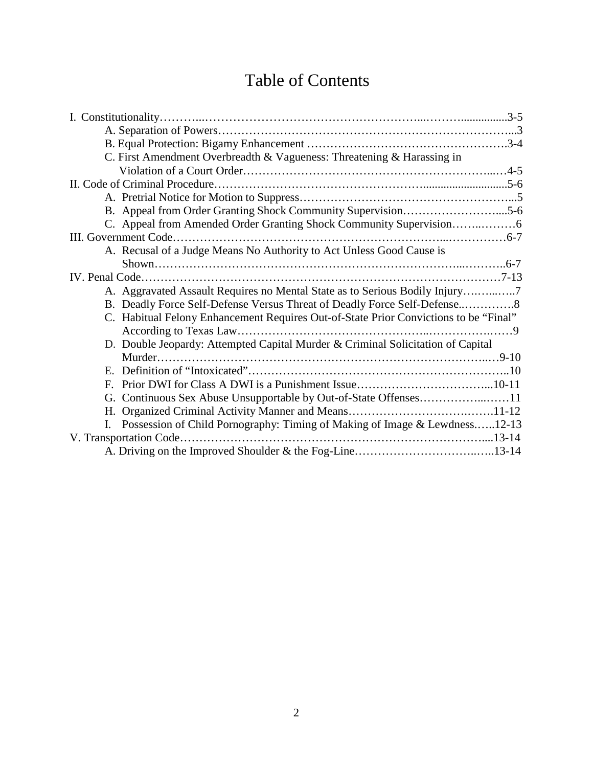# Table of Contents

| C. First Amendment Overbreadth & Vagueness: Threatening & Harassing in               |
|--------------------------------------------------------------------------------------|
|                                                                                      |
|                                                                                      |
|                                                                                      |
|                                                                                      |
|                                                                                      |
|                                                                                      |
| A. Recusal of a Judge Means No Authority to Act Unless Good Cause is                 |
|                                                                                      |
|                                                                                      |
| A. Aggravated Assault Requires no Mental State as to Serious Bodily Injury7          |
|                                                                                      |
| C. Habitual Felony Enhancement Requires Out-of-State Prior Convictions to be "Final" |
|                                                                                      |
| D. Double Jeopardy: Attempted Capital Murder & Criminal Solicitation of Capital      |
|                                                                                      |
|                                                                                      |
|                                                                                      |
|                                                                                      |
|                                                                                      |
| Possession of Child Pornography: Timing of Making of Image & Lewdness12-13           |
|                                                                                      |
|                                                                                      |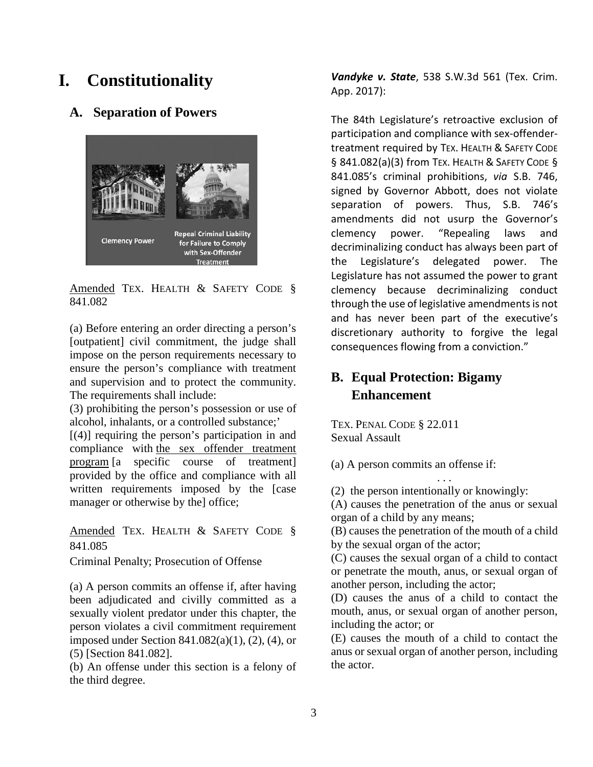### **I. Constitutionality**

#### **A. Separation of Powers**



Amended TEX. HEALTH & SAFETY CODE § 841.082

(a) Before entering an order directing a person's [outpatient] civil commitment, the judge shall impose on the person requirements necessary to ensure the person's compliance with treatment and supervision and to protect the community. The requirements shall include:

(3) prohibiting the person's possession or use of alcohol, inhalants, or a controlled substance;'

[(4)] requiring the person's participation in and compliance with the sex offender treatment program [a specific course of treatment] provided by the office and compliance with all written requirements imposed by the [case manager or otherwise by the office;

Amended TEX. HEALTH & SAFETY CODE § 841.085

Criminal Penalty; Prosecution of Offense

(a) A person commits an offense if, after having been adjudicated and civilly committed as a sexually violent predator under this chapter, the person violates a civil commitment requirement imposed under Section  $841.082(a)(1)$ ,  $(2)$ ,  $(4)$ , or (5) [Section 841.082].

(b) An offense under this section is a felony of the third degree.

*Vandyke v. State*, 538 S.W.3d 561 (Tex. Crim. App. 2017):

The 84th Legislature's retroactive exclusion of participation and compliance with sex-offendertreatment required by TEX. HEALTH & SAFETY CODE § 841.082(a)(3) from TEX. HEALTH & SAFETY CODE § 841.085's criminal prohibitions, *via* S.B. 746, signed by Governor Abbott, does not violate separation of powers. Thus, S.B. 746's amendments did not usurp the Governor's clemency power. "Repealing laws and decriminalizing conduct has always been part of the Legislature's delegated power. The Legislature has not assumed the power to grant clemency because decriminalizing conduct through the use of legislative amendments is not and has never been part of the executive's discretionary authority to forgive the legal consequences flowing from a conviction."

#### **B. Equal Protection: Bigamy Enhancement**

TEX. PENAL CODE § 22.011 Sexual Assault

(a) A person commits an offense if:

(2) the person intentionally or knowingly:

(A) causes the penetration of the anus or sexual organ of a child by any means;

. . .

(B) causes the penetration of the mouth of a child by the sexual organ of the actor;

(C) causes the sexual organ of a child to contact or penetrate the mouth, anus, or sexual organ of another person, including the actor;

(D) causes the anus of a child to contact the mouth, anus, or sexual organ of another person, including the actor; or

(E) causes the mouth of a child to contact the anus or sexual organ of another person, including the actor.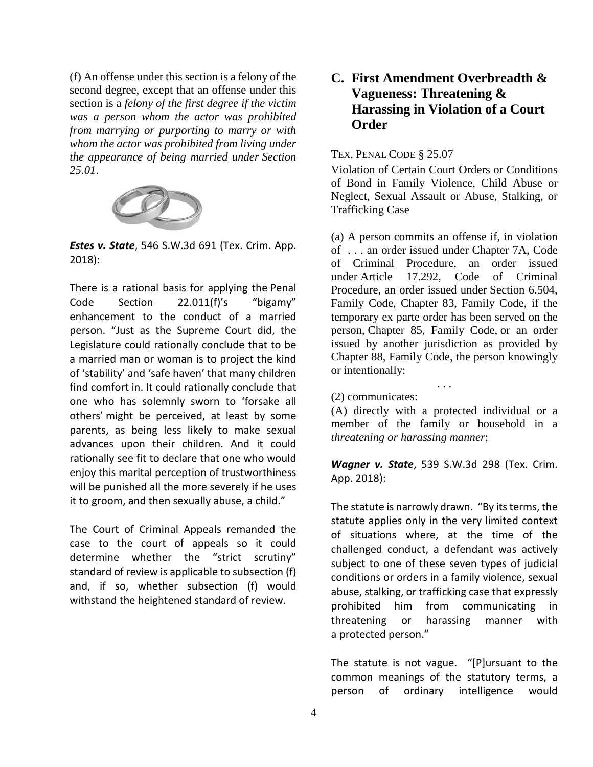(f) An offense under this section is a felony of the second degree, except that an offense under this section is a *felony of the first degree if the victim was a person whom the actor was prohibited from marrying or purporting to marry or with whom the actor was prohibited from living under the appearance of being married under Section 25.01*.



*Estes v. State*, 546 S.W.3d 691 (Tex. Crim. App. 2018):

There is a rational basis for applying the Penal Code Section 22.011(f)'s "bigamy" enhancement to the conduct of a married person. "Just as the Supreme Court did, the Legislature could rationally conclude that to be a married man or woman is to project the kind of 'stability' and 'safe haven' that many children find comfort in. It could rationally conclude that one who has solemnly sworn to 'forsake all others' might be perceived, at least by some parents, as being less likely to make sexual advances upon their children. And it could rationally see fit to declare that one who would enjoy this marital perception of trustworthiness will be punished all the more severely if he uses it to groom, and then sexually abuse, a child."

The Court of Criminal Appeals remanded the case to the court of appeals so it could determine whether the "strict scrutiny" standard of review is applicable to subsection (f) and, if so, whether subsection (f) would withstand the heightened standard of review.

#### **C. First Amendment Overbreadth & Vagueness: Threatening & Harassing in Violation of a Court Order**

#### TEX. PENAL CODE § 25.07

Violation of Certain Court Orders or Conditions of Bond in Family Violence, Child Abuse or Neglect, Sexual Assault or Abuse, Stalking, or Trafficking Case

(a) A person commits an offense if, in violation of . . . an order issued under Chapter 7A, Code of Criminal Procedure, an order issued under Article 17.292, Code of Criminal Procedure, an order issued under Section 6.504, Family Code, Chapter 83, Family Code, if the temporary ex parte order has been served on the person, Chapter 85, Family Code, or an order issued by another jurisdiction as provided by Chapter 88, Family Code, the person knowingly or intentionally:

#### (2) communicates:

(A) directly with a protected individual or a member of the family or household in a *threatening or harassing manner*;

. . .

*Wagner v. State*, 539 S.W.3d 298 (Tex. Crim. App. 2018):

The statute is narrowly drawn. "By its terms, the statute applies only in the very limited context of situations where, at the time of the challenged conduct, a defendant was actively subject to one of these seven types of judicial conditions or orders in a family violence, sexual abuse, stalking, or trafficking case that expressly prohibited him from communicating in threatening or harassing manner with a protected person."

The statute is not vague. "[P]ursuant to the common meanings of the statutory terms, a person of ordinary intelligence would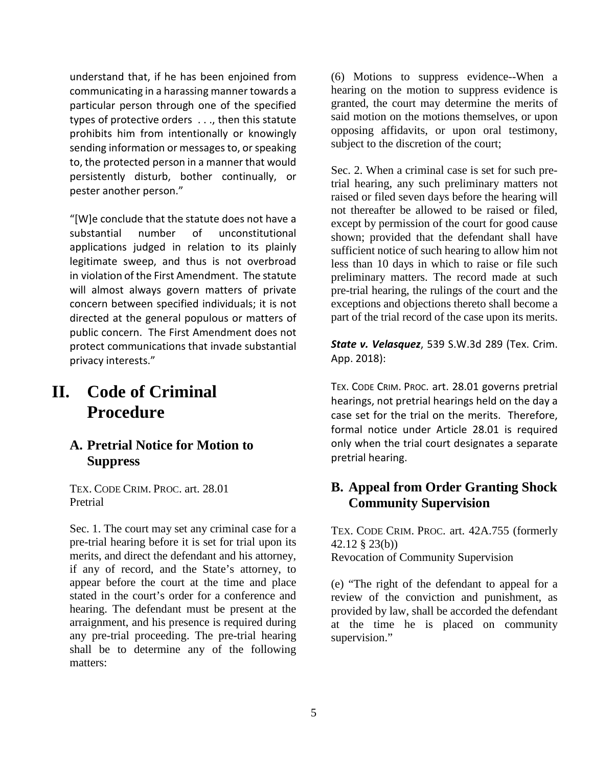understand that, if he has been enjoined from communicating in a harassing manner towards a particular person through one of the specified types of protective orders . . ., then this statute prohibits him from intentionally or knowingly sending information or messages to, or speaking to, the protected person in a manner that would persistently disturb, bother continually, or pester another person."

"[W]e conclude that the statute does not have a substantial number of unconstitutional applications judged in relation to its plainly legitimate sweep, and thus is not overbroad in violation of the First Amendment. The statute will almost always govern matters of private concern between specified individuals; it is not directed at the general populous or matters of public concern. The First Amendment does not protect communications that invade substantial privacy interests."

# **II. Code of Criminal Procedure**

#### **A. Pretrial Notice for Motion to Suppress**

TEX. CODE CRIM. PROC. art. 28.01 Pretrial

Sec. 1. The court may set any criminal case for a pre-trial hearing before it is set for trial upon its merits, and direct the defendant and his attorney, if any of record, and the State's attorney, to appear before the court at the time and place stated in the court's order for a conference and hearing. The defendant must be present at the arraignment, and his presence is required during any pre-trial proceeding. The pre-trial hearing shall be to determine any of the following matters:

(6) Motions to suppress evidence--When a hearing on the motion to suppress evidence is granted, the court may determine the merits of said motion on the motions themselves, or upon opposing affidavits, or upon oral testimony, subject to the discretion of the court;

Sec. 2. When a criminal case is set for such pretrial hearing, any such preliminary matters not raised or filed seven days before the hearing will not thereafter be allowed to be raised or filed, except by permission of the court for good cause shown; provided that the defendant shall have sufficient notice of such hearing to allow him not less than 10 days in which to raise or file such preliminary matters. The record made at such pre-trial hearing, the rulings of the court and the exceptions and objections thereto shall become a part of the trial record of the case upon its merits.

*State v. Velasquez*, 539 S.W.3d 289 (Tex. Crim. App. 2018):

TEX. CODE CRIM. PROC. art. 28.01 governs pretrial hearings, not pretrial hearings held on the day a case set for the trial on the merits. Therefore, formal notice under Article 28.01 is required only when the trial court designates a separate pretrial hearing.

#### **B. Appeal from Order Granting Shock Community Supervision**

TEX. CODE CRIM. PROC. art. 42A.755 (formerly 42.12 § 23(b)) Revocation of Community Supervision

(e) "The right of the defendant to appeal for a review of the conviction and punishment, as provided by law, shall be accorded the defendant at the time he is placed on community supervision."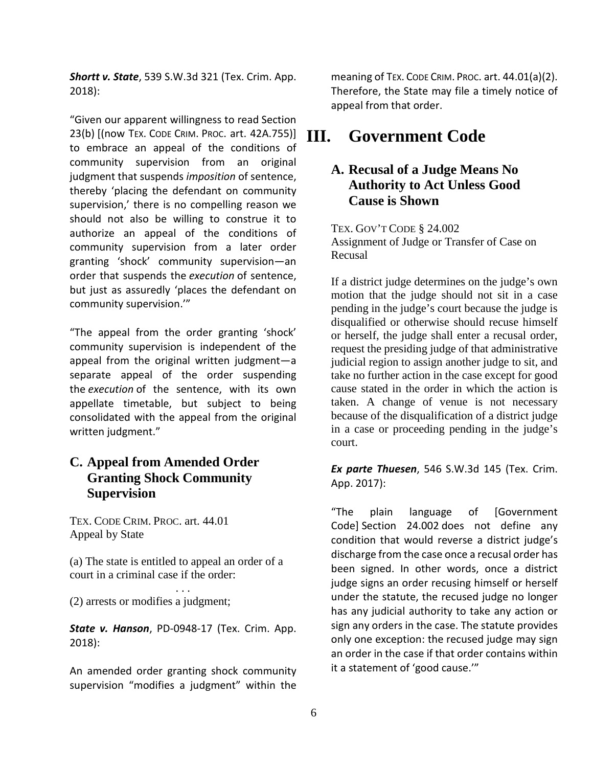*Shortt v. State*, 539 S.W.3d 321 (Tex. Crim. App. 2018):

"Given our apparent willingness to read Section 23(b) [(now TEX. CODE CRIM. PROC. art. 42A.755)] **III** to embrace an appeal of the conditions of community supervision from an original judgment that suspends *imposition* of sentence, thereby 'placing the defendant on community supervision,' there is no compelling reason we should not also be willing to construe it to authorize an appeal of the conditions of community supervision from a later order granting 'shock' community supervision—an order that suspends the *execution* of sentence, but just as assuredly 'places the defendant on community supervision.'"

"The appeal from the order granting 'shock' community supervision is independent of the appeal from the original written judgment—a separate appeal of the order suspending the *execution* of the sentence, with its own appellate timetable, but subject to being consolidated with the appeal from the original written judgment."

#### **C. Appeal from Amended Order Granting Shock Community Supervision**

TEX. CODE CRIM. PROC. art. 44.01 Appeal by State

(a) The state is entitled to appeal an order of a court in a criminal case if the order:

. . . (2) arrests or modifies a judgment;

*State v. Hanson*, PD-0948-17 (Tex. Crim. App. 2018):

An amended order granting shock community supervision "modifies a judgment" within the

meaning of TEX. CODE CRIM. PROC. art. 44.01(a)(2). Therefore, the State may file a timely notice of appeal from that order.

# **III. Government Code**

#### **A. Recusal of a Judge Means No Authority to Act Unless Good Cause is Shown**

TEX. GOV'T CODE § 24.002 Assignment of Judge or Transfer of Case on Recusal

If a district judge determines on the judge's own motion that the judge should not sit in a case pending in the judge's court because the judge is disqualified or otherwise should recuse himself or herself, the judge shall enter a recusal order, request the presiding judge of that administrative judicial region to assign another judge to sit, and take no further action in the case except for good cause stated in the order in which the action is taken. A change of venue is not necessary because of the disqualification of a district judge in a case or proceeding pending in the judge's court.

*Ex parte Thuesen*, 546 S.W.3d 145 (Tex. Crim. App. 2017):

"The plain language of [Government Code] Section 24.002 does not define any condition that would reverse a district judge's discharge from the case once a recusal order has been signed. In other words, once a district judge signs an order recusing himself or herself under the statute, the recused judge no longer has any judicial authority to take any action or sign any orders in the case. The statute provides only one exception: the recused judge may sign an order in the case if that order contains within it a statement of 'good cause.'"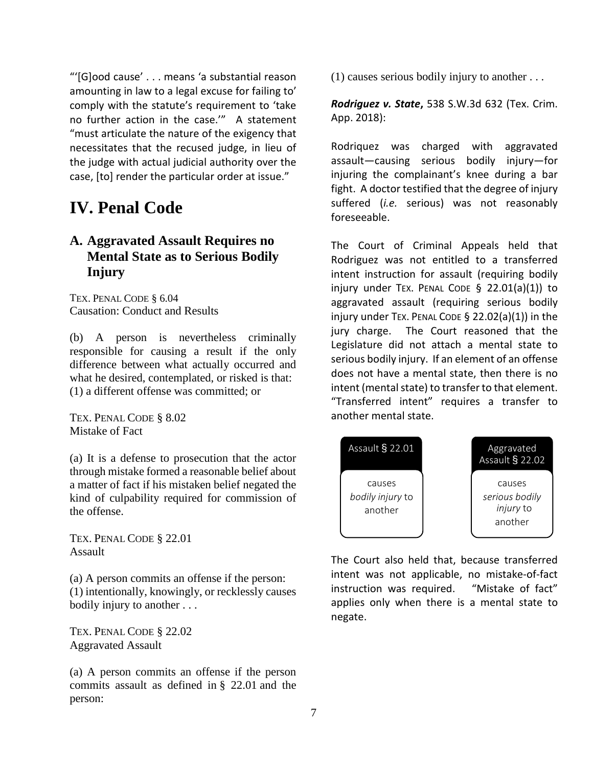"'[G]ood cause' . . . means 'a substantial reason amounting in law to a legal excuse for failing to' comply with the statute's requirement to 'take no further action in the case.'" A statement "must articulate the nature of the exigency that necessitates that the recused judge, in lieu of the judge with actual judicial authority over the case, [to] render the particular order at issue."

## **IV. Penal Code**

#### **A. Aggravated Assault Requires no Mental State as to Serious Bodily Injury**

TEX. PENAL CODE § 6.04 Causation: Conduct and Results

(b) A person is nevertheless criminally responsible for causing a result if the only difference between what actually occurred and what he desired, contemplated, or risked is that: (1) a different offense was committed; or

TEX. PENAL CODE § 8.02 Mistake of Fact

(a) It is a defense to prosecution that the actor through mistake formed a reasonable belief about a matter of fact if his mistaken belief negated the kind of culpability required for commission of the offense.

TEX. PENAL CODE § 22.01 Assault

(a) A person commits an offense if the person: (1) intentionally, knowingly, or recklessly causes bodily injury to another . . .

TEX. PENAL CODE § 22.02 Aggravated Assault

(a) A person commits an offense if the person commits assault as defined in § 22.01 and the person:

(1) causes serious bodily injury to another . . .

*Rodriguez v. State***,** 538 S.W.3d 632 (Tex. Crim. App. 2018):

Rodriquez was charged with aggravated assault―causing serious bodily injury―for injuring the complainant's knee during a bar fight. A doctor testified that the degree of injury suffered (*i.e.* serious) was not reasonably foreseeable.

The Court of Criminal Appeals held that Rodriguez was not entitled to a transferred intent instruction for assault (requiring bodily injury under TEX. PENAL CODE § 22.01(a)(1)) to aggravated assault (requiring serious bodily injury under TEX. PENAL CODE § 22.02(a)(1)) in the jury charge. The Court reasoned that the Legislature did not attach a mental state to serious bodily injury. If an element of an offense does not have a mental state, then there is no intent (mental state) to transfer to that element. "Transferred intent" requires a transfer to another mental state.



The Court also held that, because transferred intent was not applicable, no mistake-of-fact instruction was required. "Mistake of fact" applies only when there is a mental state to negate.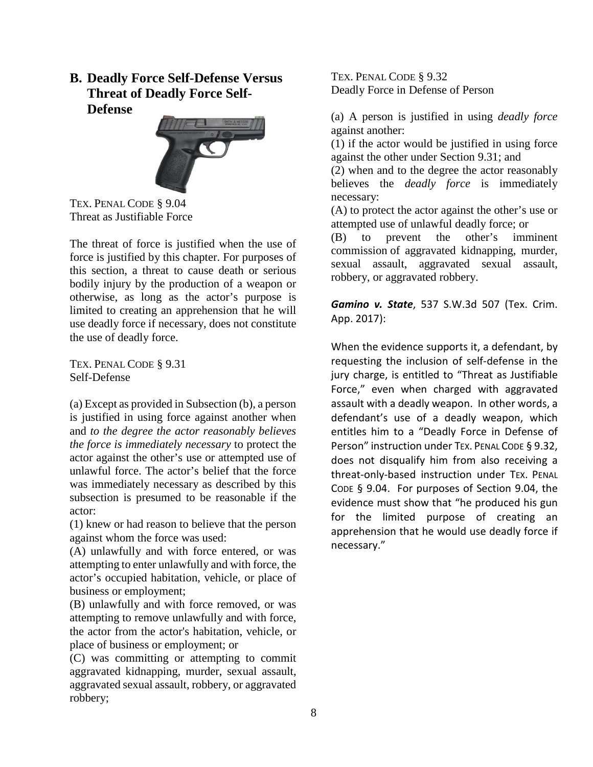**B. Deadly Force Self-Defense Versus Threat of Deadly Force Self-Defense**



TEX. PENAL CODE § 9.04 Threat as Justifiable Force

The threat of force is justified when the use of force is justified by this chapter. For purposes of this section, a threat to cause death or serious bodily injury by the production of a weapon or otherwise, as long as the actor's purpose is limited to creating an apprehension that he will use deadly force if necessary, does not constitute the use of deadly force.

TEX. PENAL CODE § 9.31 Self-Defense

(a) Except as provided in Subsection (b), a person is justified in using force against another when and *to the degree the actor reasonably believes the force is immediately necessary* to protect the actor against the other's use or attempted use of unlawful force. The actor's belief that the force was immediately necessary as described by this subsection is presumed to be reasonable if the actor:

(1) knew or had reason to believe that the person against whom the force was used:

(A) unlawfully and with force entered, or was attempting to enter unlawfully and with force, the actor's occupied habitation, vehicle, or place of business or employment;

(B) unlawfully and with force removed, or was attempting to remove unlawfully and with force, the actor from the actor's habitation, vehicle, or place of business or employment; or

(C) was committing or attempting to commit aggravated kidnapping, murder, sexual assault, aggravated sexual assault, robbery, or aggravated robbery;

TEX. PENAL CODE § 9.32 Deadly Force in Defense of Person

(a) A person is justified in using *deadly force* against another:

(1) if the actor would be justified in using force against the other under Section 9.31; and

(2) when and to the degree the actor reasonably believes the *deadly force* is immediately necessary:

(A) to protect the actor against the other's use or attempted use of unlawful deadly force; or

(B) to prevent the other's imminent commission of aggravated kidnapping, murder, sexual assault, aggravated sexual assault, robbery, or aggravated robbery.

*Gamino v. State*, 537 S.W.3d 507 (Tex. Crim. App. 2017):

When the evidence supports it, a defendant, by requesting the inclusion of self-defense in the jury charge, is entitled to "Threat as Justifiable Force," even when charged with aggravated assault with a deadly weapon. In other words, a defendant's use of a deadly weapon, which entitles him to a "Deadly Force in Defense of Person" instruction under TEX. PENAL CODE § 9.32, does not disqualify him from also receiving a threat-only-based instruction under TEX. PENAL CODE § 9.04. For purposes of Section 9.04, the evidence must show that "he produced his gun for the limited purpose of creating an apprehension that he would use deadly force if necessary."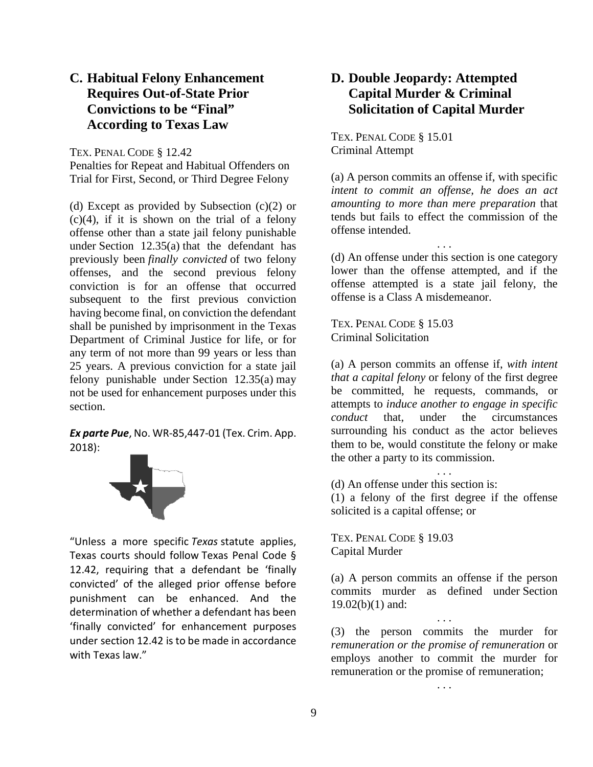#### **C. Habitual Felony Enhancement Requires Out-of-State Prior Convictions to be "Final" According to Texas Law**

TEX. PENAL CODE § 12.42

Penalties for Repeat and Habitual Offenders on Trial for First, Second, or Third Degree Felony

(d) Except as provided by Subsection (c)(2) or  $(c)(4)$ , if it is shown on the trial of a felony offense other than a state jail felony punishable under Section 12.35(a) that the defendant has previously been *finally convicted* of two felony offenses, and the second previous felony conviction is for an offense that occurred subsequent to the first previous conviction having become final, on conviction the defendant shall be punished by imprisonment in the Texas Department of Criminal Justice for life, or for any term of not more than 99 years or less than 25 years. A previous conviction for a state jail felony punishable under Section 12.35(a) may not be used for enhancement purposes under this section.

*Ex parte Pue*, No. WR-85,447-01 (Tex. Crim. App. 2018):



"Unless a more specific *Texas* statute applies, Texas courts should follow Texas Penal Code § 12.42, requiring that a defendant be 'finally convicted' of the alleged prior offense before punishment can be enhanced. And the determination of whether a defendant has been 'finally convicted' for enhancement purposes under section 12.42 is to be made in accordance with Texas law."

#### **D. Double Jeopardy: Attempted Capital Murder & Criminal Solicitation of Capital Murder**

TEX. PENAL CODE § 15.01 Criminal Attempt

(a) A person commits an offense if, with specific *intent to commit an offense, he does an act amounting to more than mere preparation* that tends but fails to effect the commission of the offense intended.

(d) An offense under this section is one category lower than the offense attempted, and if the offense attempted is a state jail felony, the offense is a Class A misdemeanor.

. . .

TEX. PENAL CODE § 15.03 Criminal Solicitation

(a) A person commits an offense if, *with intent that a capital felony* or felony of the first degree be committed, he requests, commands, or attempts to *induce another to engage in specific conduct* that, under the circumstances surrounding his conduct as the actor believes them to be, would constitute the felony or make the other a party to its commission.

(d) An offense under this section is:

(1) a felony of the first degree if the offense solicited is a capital offense; or

. . .

TEX. PENAL CODE § 19.03 Capital Murder

(a) A person commits an offense if the person commits murder as defined under Section  $19.02(b)(1)$  and:

. . .

(3) the person commits the murder for *remuneration or the promise of remuneration* or employs another to commit the murder for remuneration or the promise of remuneration;

. . .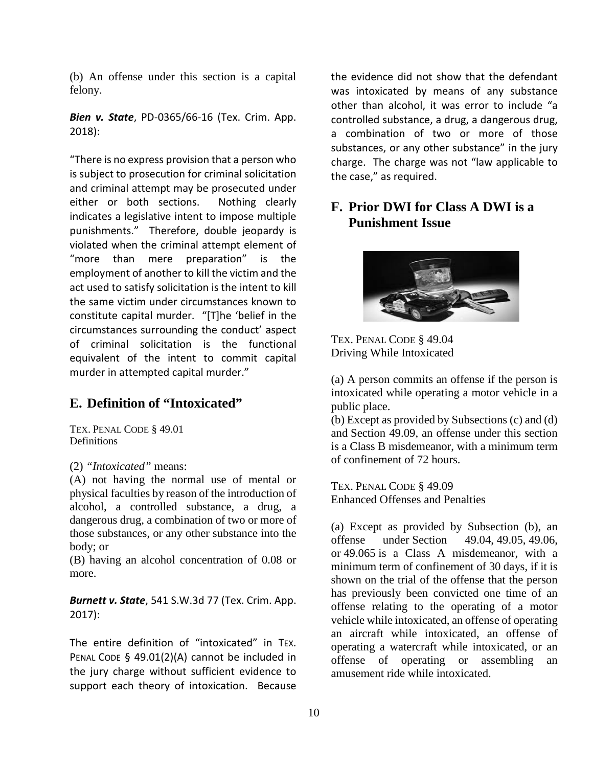(b) An offense under this section is a capital felony.

*Bien v. State*, PD-0365/66-16 (Tex. Crim. App. 2018):

"There is no express provision that a person who is subject to prosecution for criminal solicitation and criminal attempt may be prosecuted under either or both sections. Nothing clearly indicates a legislative intent to impose multiple punishments." Therefore, double jeopardy is violated when the criminal attempt element of "more than mere preparation" is the employment of another to kill the victim and the act used to satisfy solicitation is the intent to kill the same victim under circumstances known to constitute capital murder. "[T]he 'belief in the circumstances surrounding the conduct' aspect of criminal solicitation is the functional equivalent of the intent to commit capital murder in attempted capital murder."

#### **E. Definition of "Intoxicated"**

TEX. PENAL CODE § 49.01 **Definitions** 

(2) *"Intoxicated"* means:

(A) not having the normal use of mental or physical faculties by reason of the introduction of alcohol, a controlled substance, a drug, a dangerous drug, a combination of two or more of those substances, or any other substance into the body; or

(B) having an alcohol concentration of 0.08 or more.

*Burnett v. State*, 541 S.W.3d 77 (Tex. Crim. App. 2017):

The entire definition of "intoxicated" in TEX. PENAL CODE § 49.01(2)(A) cannot be included in the jury charge without sufficient evidence to support each theory of intoxication. Because

the evidence did not show that the defendant was intoxicated by means of any substance other than alcohol, it was error to include "a controlled substance, a drug, a dangerous drug, a combination of two or more of those substances, or any other substance" in the jury charge. The charge was not "law applicable to the case," as required.

#### **F. Prior DWI for Class A DWI is a Punishment Issue**



TEX. PENAL CODE § 49.04 Driving While Intoxicated

(a) A person commits an offense if the person is intoxicated while operating a motor vehicle in a public place.

(b) Except as provided by Subsections (c) and (d) and Section 49.09, an offense under this section is a Class B misdemeanor, with a minimum term of confinement of 72 hours.

TEX. PENAL CODE § 49.09 Enhanced Offenses and Penalties

(a) Except as provided by Subsection (b), an offense under Section  $49.04, 49.05, 49.06$ . offense under Section 49.04, 49.05, 49.06, or 49.065 is a Class A misdemeanor, with a minimum term of confinement of 30 days, if it is shown on the trial of the offense that the person has previously been convicted one time of an offense relating to the operating of a motor vehicle while intoxicated, an offense of operating an aircraft while intoxicated, an offense of operating a watercraft while intoxicated, or an offense of operating or assembling an amusement ride while intoxicated.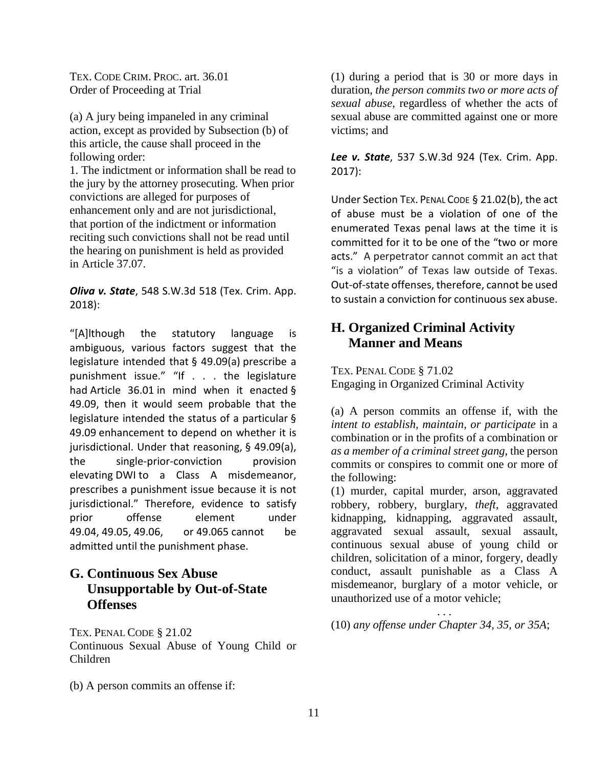TEX. CODE CRIM. PROC. art. 36.01 Order of Proceeding at Trial

(a) A jury being impaneled in any criminal action, except as provided by Subsection (b) of this article, the cause shall proceed in the following order:

1. The indictment or information shall be read to the jury by the attorney prosecuting. When prior convictions are alleged for purposes of enhancement only and are not jurisdictional, that portion of the indictment or information reciting such convictions shall not be read until the hearing on punishment is held as provided in Article 37.07.

*Oliva v. State*, 548 S.W.3d 518 (Tex. Crim. App. 2018):

"[A]lthough the statutory language is ambiguous, various factors suggest that the legislature intended that § 49.09(a) prescribe a punishment issue." "If . . . the legislature had Article 36.01 in mind when it enacted § 49.09, then it would seem probable that the legislature intended the status of a particular § 49.09 enhancement to depend on whether it is jurisdictional. Under that reasoning, § 49.09(a), the single-prior-conviction provision elevating DWI to a Class A misdemeanor, prescribes a punishment issue because it is not jurisdictional." Therefore, evidence to satisfy prior offense element under 49.04, 49.05, 49.06, or 49.065 cannot be admitted until the punishment phase.

#### **G. Continuous Sex Abuse Unsupportable by Out-of-State Offenses**

TEX. PENAL CODE § 21.02 Continuous Sexual Abuse of Young Child or Children

(b) A person commits an offense if:

(1) during a period that is 30 or more days in duration, *the person commits two or more acts of sexual abuse*, regardless of whether the acts of sexual abuse are committed against one or more victims; and

*Lee v. State*, 537 S.W.3d 924 (Tex. Crim. App. 2017):

Under Section TEX. PENAL CODE § 21.02(b), the act of abuse must be a violation of one of the enumerated Texas penal laws at the time it is committed for it to be one of the "two or more acts." A perpetrator cannot commit an act that "is a violation" of Texas law outside of Texas. Out-of-state offenses, therefore, cannot be used to sustain a conviction for continuous sex abuse.

#### **H. Organized Criminal Activity Manner and Means**

TEX. PENAL CODE § 71.02 Engaging in Organized Criminal Activity

(a) A person commits an offense if, with the *intent to establish, maintain, or participate* in a combination or in the profits of a combination or *as a member of a criminal street gang*, the person commits or conspires to commit one or more of the following:

(1) murder, capital murder, arson, aggravated robbery, robbery, burglary, *theft*, aggravated kidnapping, kidnapping, aggravated assault, aggravated sexual assault, sexual assault, continuous sexual abuse of young child or children, solicitation of a minor, forgery, deadly conduct, assault punishable as a Class A misdemeanor, burglary of a motor vehicle, or unauthorized use of a motor vehicle;

. . . (10) *any offense under Chapter 34, 35, or 35A*;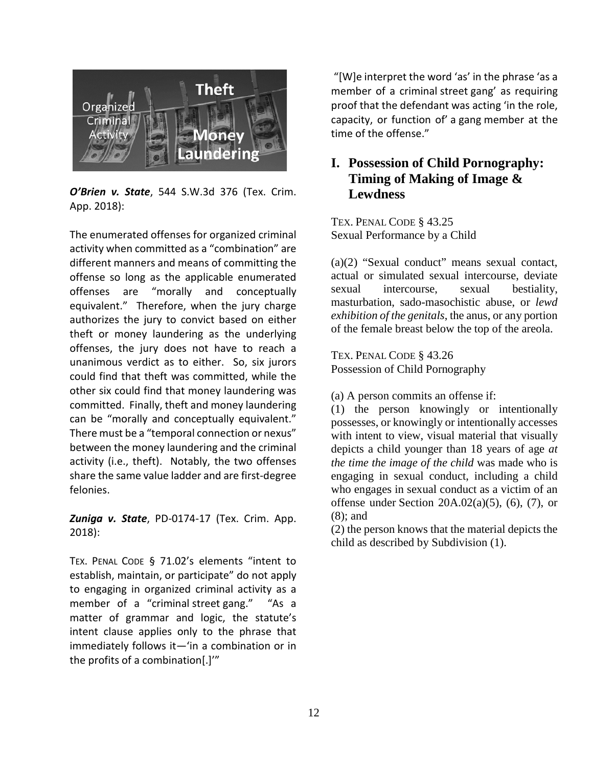

*O'Brien v. State*, 544 S.W.3d 376 (Tex. Crim. App. 2018):

The enumerated offenses for organized criminal activity when committed as a "combination" are different manners and means of committing the offense so long as the applicable enumerated offenses are "morally and conceptually equivalent." Therefore, when the jury charge authorizes the jury to convict based on either theft or money laundering as the underlying offenses, the jury does not have to reach a unanimous verdict as to either. So, six jurors could find that theft was committed, while the other six could find that money laundering was committed. Finally, theft and money laundering can be "morally and conceptually equivalent." There must be a "temporal connection or nexus" between the money laundering and the criminal activity (i.e., theft). Notably, the two offenses share the same value ladder and are first-degree felonies.

*Zuniga v. State*, PD-0174-17 (Tex. Crim. App. 2018):

TEX. PENAL CODE § 71.02's elements "intent to establish, maintain, or participate" do not apply to engaging in organized criminal activity as a member of a "criminal street gang." "As a matter of grammar and logic, the statute's intent clause applies only to the phrase that immediately follows it—'in a combination or in the profits of a combination[.]'"

"[W]e interpret the word 'as' in the phrase 'as a member of a criminal street gang' as requiring proof that the defendant was acting 'in the role, capacity, or function of' a gang member at the time of the offense."

#### **I. Possession of Child Pornography: Timing of Making of Image & Lewdness**

TEX. PENAL CODE § 43.25 Sexual Performance by a Child

(a)(2) "Sexual conduct" means sexual contact, actual or simulated sexual intercourse, deviate sexual intercourse, sexual bestiality, masturbation, sado-masochistic abuse, or *lewd exhibition of the genitals*, the anus, or any portion of the female breast below the top of the areola.

TEX. PENAL CODE § 43.26 Possession of Child Pornography

(a) A person commits an offense if:

(1) the person knowingly or intentionally possesses, or knowingly or intentionally accesses with intent to view, visual material that visually depicts a child younger than 18 years of age *at the time the image of the child* was made who is engaging in sexual conduct, including a child who engages in sexual conduct as a victim of an offense under Section  $20A.02(a)(5)$ ,  $(6)$ ,  $(7)$ , or (8); and

(2) the person knows that the material depicts the child as described by Subdivision (1).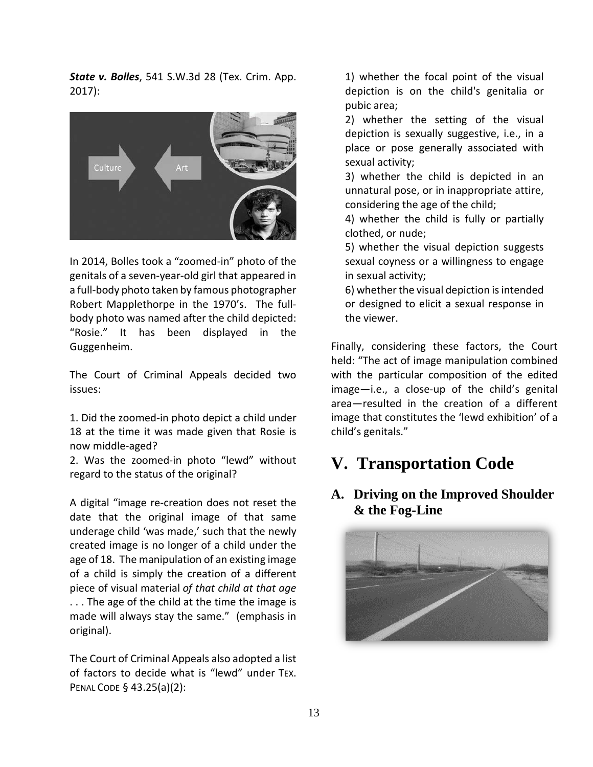*State v. Bolles*, 541 S.W.3d 28 (Tex. Crim. App. 2017):



In 2014, Bolles took a "zoomed-in" photo of the genitals of a seven-year-old girl that appeared in a full-body photo taken by famous photographer Robert Mapplethorpe in the 1970's. The fullbody photo was named after the child depicted: "Rosie." It has been displayed in the Guggenheim.

The Court of Criminal Appeals decided two issues:

1. Did the zoomed-in photo depict a child under 18 at the time it was made given that Rosie is now middle-aged?

2. Was the zoomed-in photo "lewd" without regard to the status of the original?

A digital "image re-creation does not reset the date that the original image of that same underage child 'was made,' such that the newly created image is no longer of a child under the age of 18. The manipulation of an existing image of a child is simply the creation of a different piece of visual material *of that child at that age* . . . The age of the child at the time the image is made will always stay the same." (emphasis in original).

The Court of Criminal Appeals also adopted a list of factors to decide what is "lewd" under TEX. PENAL CODE § 43.25(a)(2):

1) whether the focal point of the visual depiction is on the child's genitalia or pubic area;

2) whether the setting of the visual depiction is sexually suggestive, i.e., in a place or pose generally associated with sexual activity;

3) whether the child is depicted in an unnatural pose, or in inappropriate attire, considering the age of the child;

4) whether the child is fully or partially clothed, or nude;

5) whether the visual depiction suggests sexual coyness or a willingness to engage in sexual activity;

6) whether the visual depiction is intended or designed to elicit a sexual response in the viewer.

Finally, considering these factors, the Court held: "The act of image manipulation combined with the particular composition of the edited image—i.e., a close-up of the child's genital area—resulted in the creation of a different image that constitutes the 'lewd exhibition' of a child's genitals."

# **V. Transportation Code**

#### **A. Driving on the Improved Shoulder & the Fog-Line**